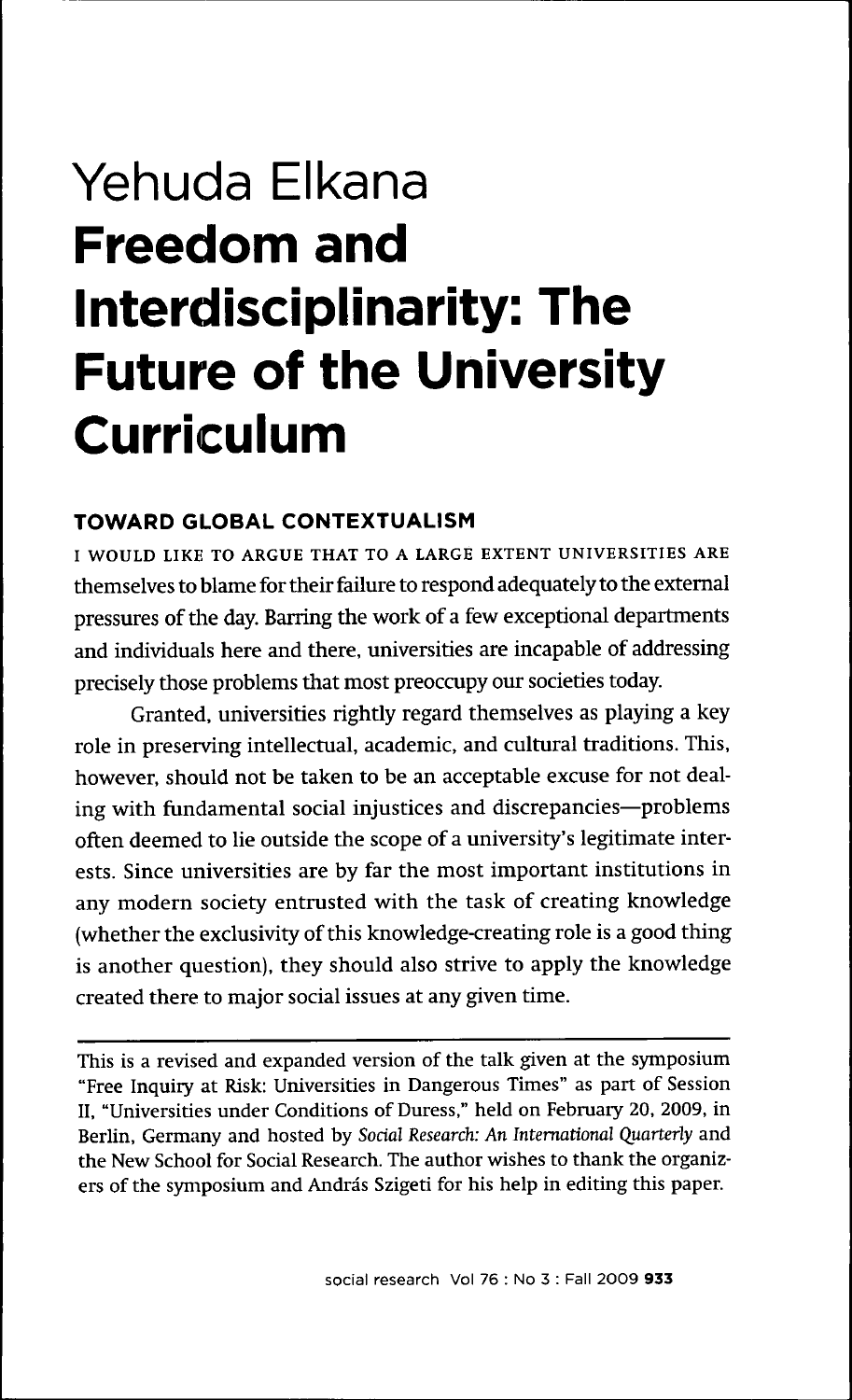# **Yehuda Elkana Freedom and Interdisciplinarity: The Future of the University Curriculum**

## **TOWARD GLOBAL CONTEXTUALISM**

I WOULD LIKE TO ARGUE THAT TO A LARGE EXTENT UNIVERSITIES ARE themselves to blame for their failure to respond adequately to the external pressures of the day. Barring the work of a few exceptional departments and individuals here and there, universities are incapable of addressing precisely those problems that most preoccupy our societies today.

Granted, universities rightly regard themselves as playing a key role in preserving intellectual, academic, and cultural traditions. This, however, should not be taken to be an acceptable excuse for not dealing with fundamental social injustices and discrepancies—problems often deemed to lie outside the scope of a university's legitimate interests. Since universities are by far the most important institutions in any modern society entrusted with the task of creating knowledge (whether the exclusivity of this knowledge-creating role is a good thing is another question), they should also strive to apply the knowledge created there to major social issues at any given time.

This is a revised and expanded version of the talk given at the symposium "Free Inquiry at Risk: Universities in Dangerous Times" as part of Session II, "Universities under Conditions of Duress," held on February 20, 2009, in Berlin, Germany and hosted by *Soríál Research: An International Quarterly* and the New School for Social Research. The author wishes to thank the organizers of the symposium and András Szigeti for his help in editing this paper.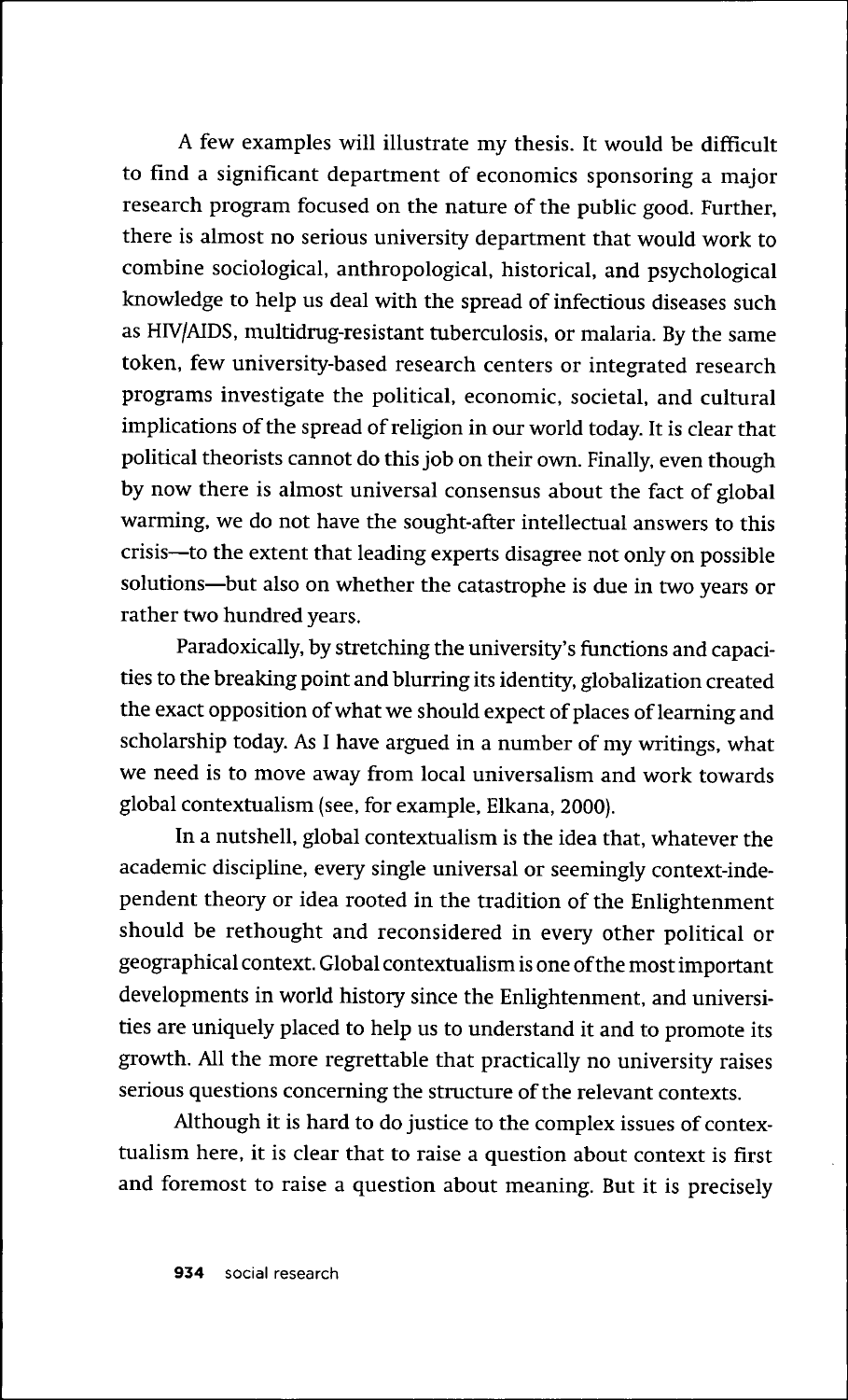A few examples will illustrate my thesis. It would be difficult to find a significant department of economics sponsoring a major research program focused on the nature of the public good. Further, there is almost no serious university department that would work to combine sociological, anthropological, historical, and psychological knowledge to help us deal with the spread of infectious diseases such as HIV/AIDS, multidrug-resistant tuberculosis, or malaria. By the same token, few university-based research centers or integrated research programs investigate the political, economic, societal, and cultural implications of the spread of religion in our world today. It is clear that political theorists cannot do this job on their own. Finally, even though by now there is almost universal consensus about the fact of global warming, we do not have the sought-after intellectual answers to this crisis—to the extent that leading experts disagree not only on possible solutions—but also on whether the catastrophe is due in two years or rather two hundred years.

Paradoxically, by stretching the university's functions and capacities to the breaking point and blurring its identity, globalization created the exact opposition of what we should expect of places of learning and scholarship today. As I have argued in a number of my writings, what we need is to move away ftom local universalism and work towards global contextualism (see, for example, Elkana, 2000).

In a nutshell, global contextualism is the idea that, whatever the academic discipline, every single universal or seemingly context-independent theory or idea rooted in the tradition of the Enlightenment should be rethought and reconsidered in every other political or geographical context. Global contextualism is one of the most important developments in world history since the Enlightenment, and universities are uniquely placed to help us to understand it and to promote its growth. All the more regrettable that practically no university raises serious questions concerning the structure of the relevant contexts.

Although it is hard to do justice to the complex issues of contextualism here, it is clear that to raise a question about context is first and foremost to raise a question about meaning. But it is precisely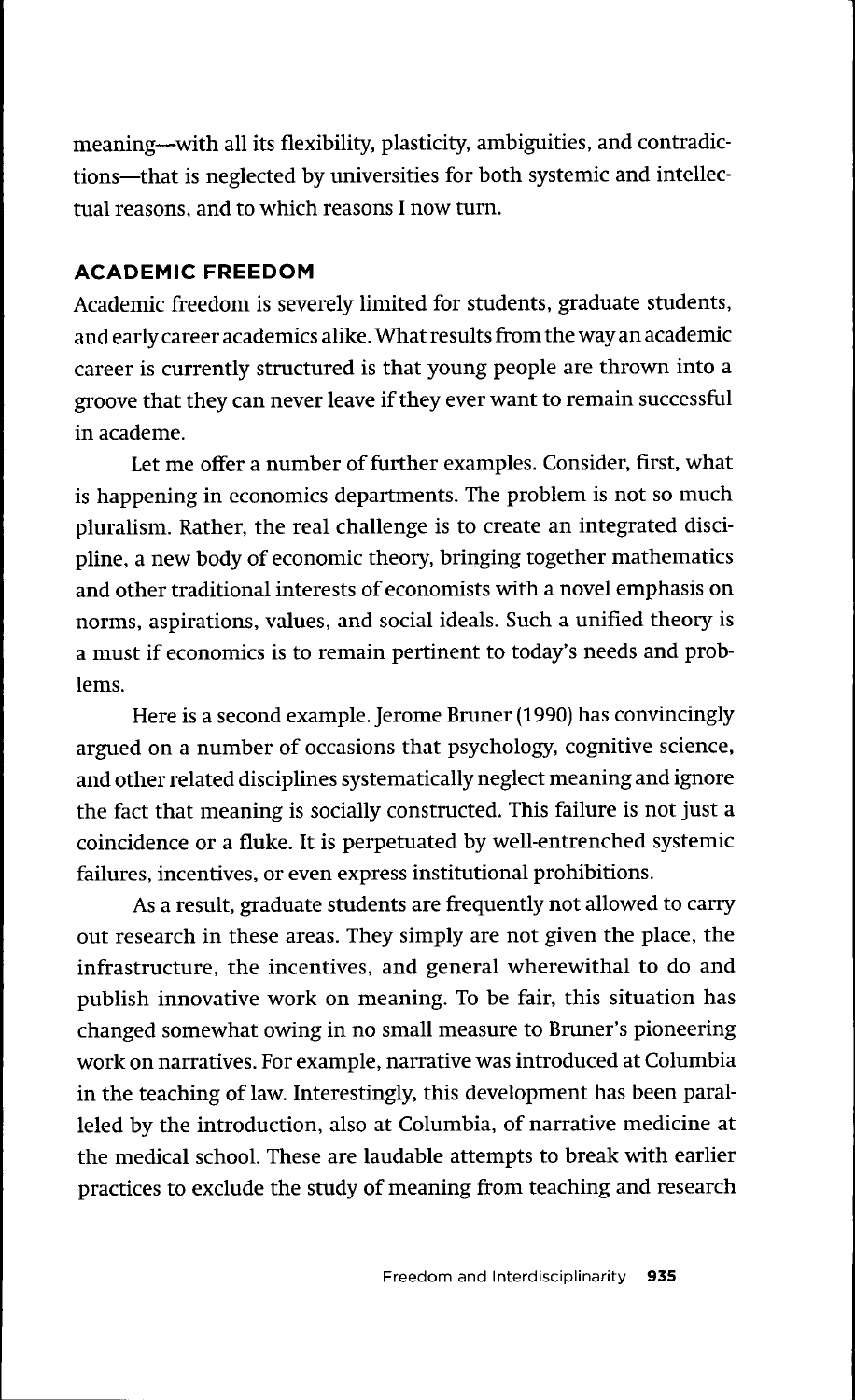meaning—with all its flexibility, plasticity, ambiguities, and contradictions—that is neglected by universities for both systemic and intellectual reasons, and to which reasons I now turn.

### **ACADEMIC FREEDOM**

Academic freedom is severely limited for students, graduate students, and early career academics alike. What results from the way an academic career is currently structured is that young people are thrown into a groove that they can never leave if they ever want to remain successful in academe.

Let me offer a number of further examples. Consider, first, what is happening in economics departments. The problem is not so much pluralism. Rather, the real challenge is to create an integrated discipline, a new body of economic theory, bringing together mathematics and other traditional interests of economists with a novel emphasis on norms, aspirations, values, and social ideals. Such a unified theory is a must if economics is to remain pertinent to today's needs and problems.

Here is a second example. Jerome Bruner (1990) has convincingly argued on a number of occasions that psychology, cognitive science, and other related disciplines systematically neglect meaning and ignore the fact that meaning is socially constructed. This failure is not just a coincidence or a fiuke. It is perpetuated by well-entrenched systemic failures, incentives, or even express institutional prohibitions.

As a result, graduate students are frequently not allowed to carry out research in these areas. They simply are not given the place, the infrastructure, the incentives, and general wherewithal to do and publish innovative work on meaning. To be fair, this situation has changed somewhat owing in no small measure to Bruner's pioneering work on narratives. For example, narrative was introduced at Columbia in the teaching of law. Interestingly, this development has been paralleled by the introduction, also at Columbia, of narrative medicine at the medical school. These are laudable attempts to break with earlier practices to exclude the study of meaning from teaching and research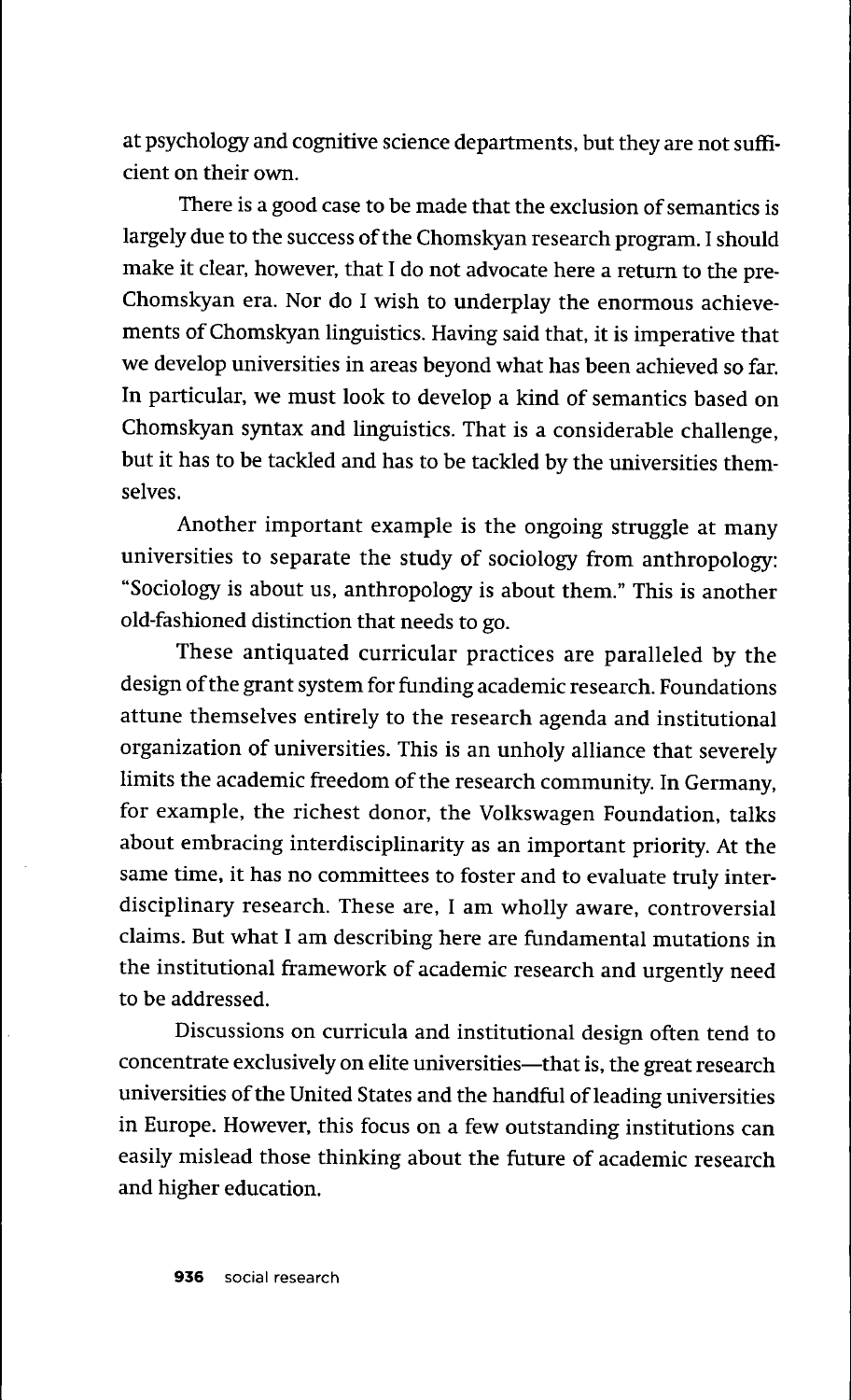at psychology and cognitive science departments, but they are not sufficient on their own.

There is a good case to be made that the exclusion of semantics is largely due to the success of the Chomskyan research program. I should make it clear, however, that I do not advocate here a return to the pre-Chomskyan era. Nor do I wish to underplay the enormous achievements of Chomskyan linguistics. Having said that, it is imperative that we develop universities in areas beyond what has been achieved so far. In particular, we must look to develop a kind of semantics based on Chomskyan syntax and linguistics. That is a considerable challenge, but it has to be tackled and has to be tackled by the universities themselves.

Another important example is the ongoing struggle at many universities to separate the study of sociology from anthropology: "Sociology is about us, anthropology is about them." This is another old-fashioned distinction that needs to go.

These antiquated curricular practices are paralleled by the design of the grant system for funding academic research. Foundations attune themselves entirely to the research agenda and institutional organization of universities. This is an unholy alliance that severely limits the academic freedom of the research community. In Germany, for example, the richest donor, the Volkswagen Foundation, talks about embracing interdisciplinarity as an important priority. At the same time, it has no committees to foster and to evaluate truly interdisciplinary research. These are, I am wholly aware, controversial claims. But what I am describing here are fundamental mutations in the institutional framework of academic research and urgently need to be addressed.

Discussions on curricula and institutional design often tend to concentrate exclusively on elite universities—that is, the great research universities of the United States and the handftil of leading universities in Europe. However, this focus on a few outstanding institutions can easily mislead those thinking about the future of academic research and higher education.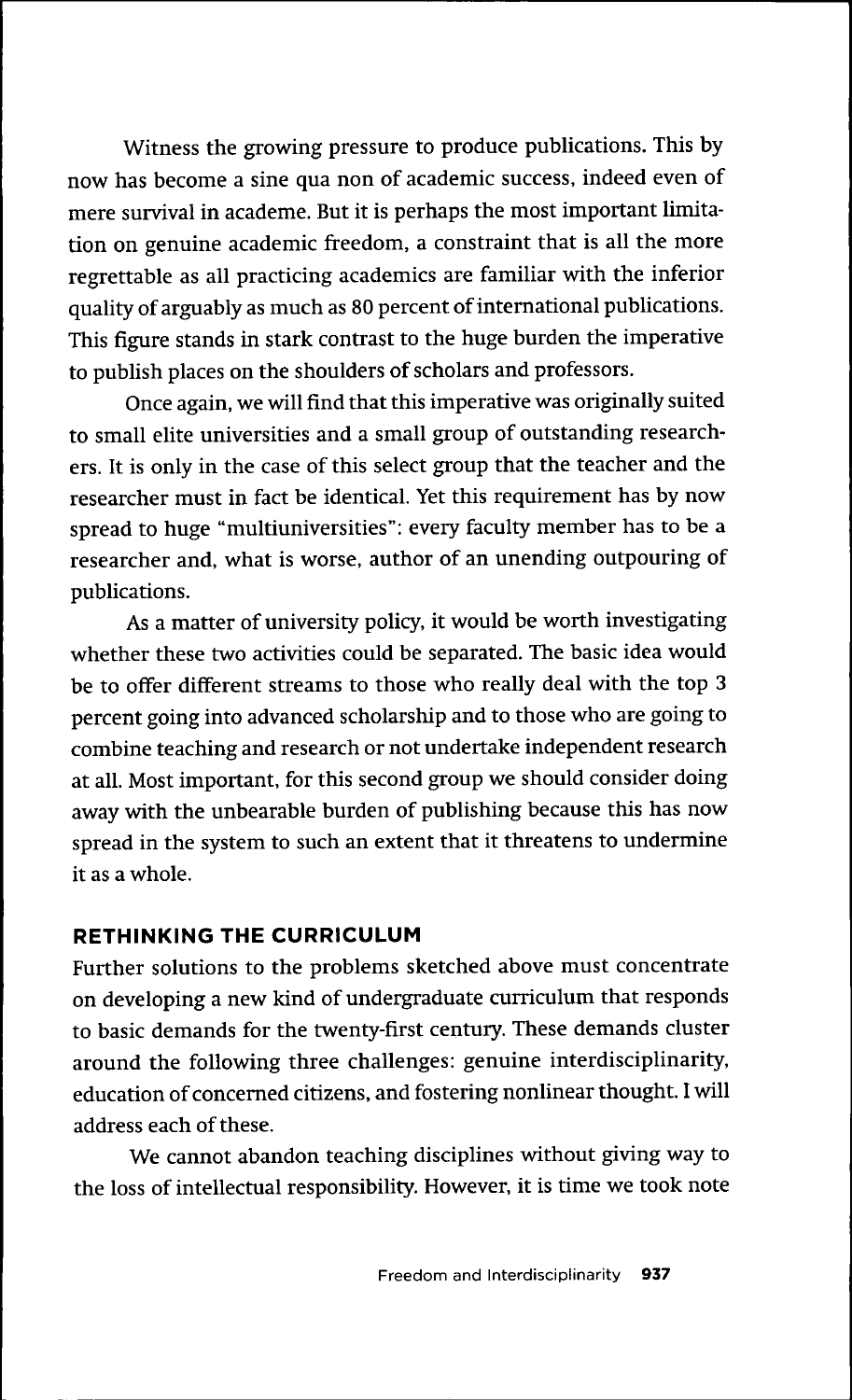Witness the growing pressure to produce publications. This by now has become a sine qua non of academic success, indeed even of mere survival in academe. But it is perhaps the most important limitation on genuine academic freedom, a constraint that is all the more regrettable as all practicing academics are familiar with the inferior quality of arguably as much as 80 percent of international publications. This figure stands in stark contrast to the huge burden the imperative to publish places on the shoulders of scholars and professors.

Once again, we will find that this imperative was originally suited to small elite universities and a small group of outstanding researchers. It is only in the case of this select group that the teacher and the researcher must in fact be identical. Yet this requirement has by now spread to huge "multiuniversities": every faculty member has to be a researcher and, what is worse, author of an unending outpouring of publications.

As a matter of university policy, it would be worth investigating whether these two activities could be separated. The basic idea would be to offer different streams to those who really deal with the top 3 percent going into advanced scholarship and to those who are going to combine teaching and research or not undertake independent research at all. Most important, for this second group we should consider doing away with the unbearable burden of publishing because this has now spread in the system to such an extent that it threatens to undermine it as a whole.

#### **RETHINKING THE CURRICULUM**

Further solutions to the problems sketched above must concentrate on developing a new kind of undergraduate curriculum that responds to basic demands for the twenty-first century. These demands cluster around the following three challenges: genuine interdisciplinarity, education of concerned citizens, and fostering nonlinear thought. I will address each of these.

We cannot abandon teaching disciplines without giving way to the loss of intellectual responsibility. However, it is time we took note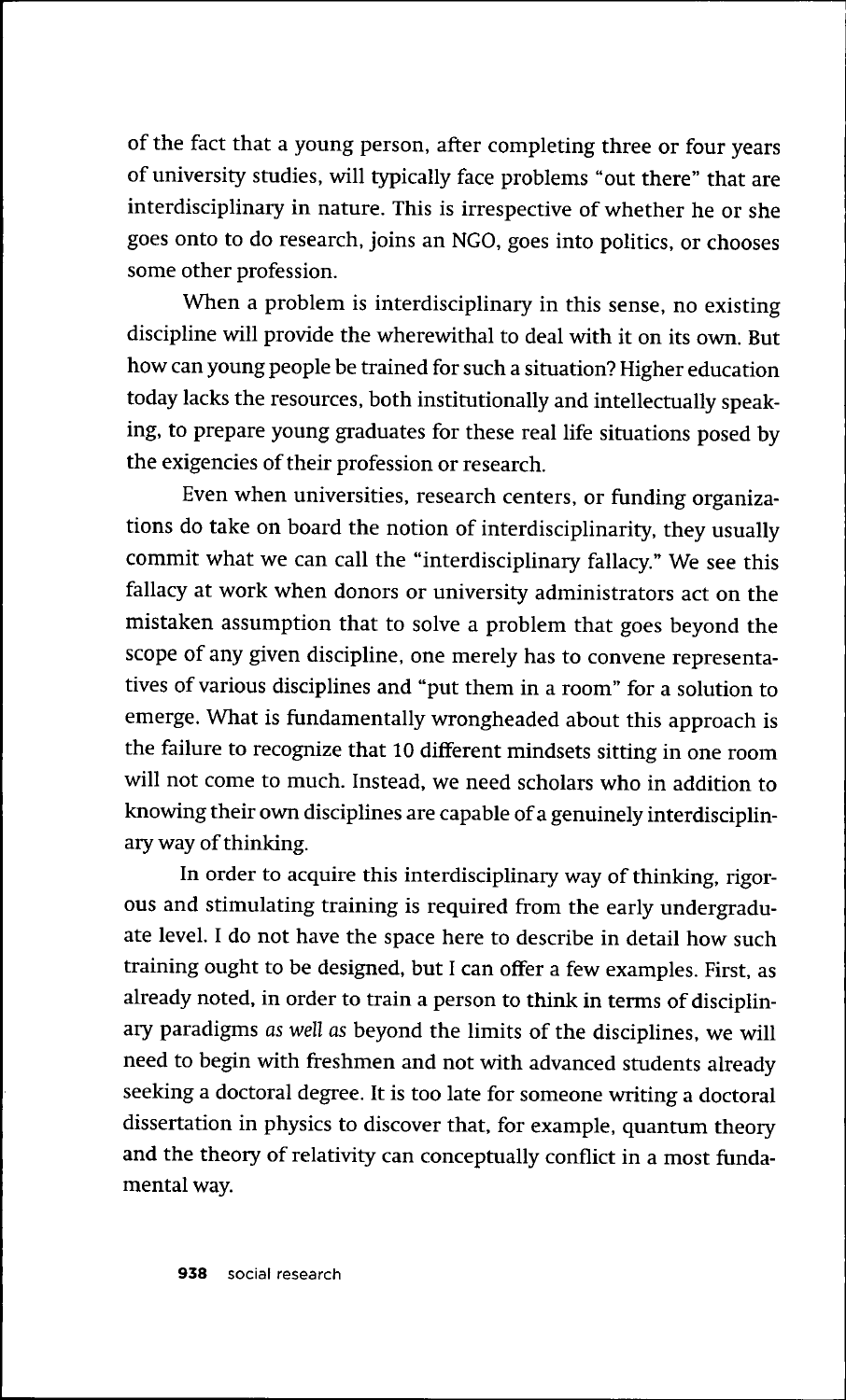of the fact that a young person, after completing three or four years of university studies, will typically face problems "out there" that are interdisciplinary in nature. This is irrespective of whether he or she goes onto to do research, joins an NGO, goes into politics, or chooses some other profession.

When a problem is interdisciplinary in this sense, no existing disciphne will provide the wherewithal to deal with it on its own. But how can young people be trained for such a situation? Higher education today lacks the resources, both institutionally and intellectually speaking, to prepare young graduates for these real life situations posed by the exigencies of their profession or research.

Even when universities, research centers, or funding organizations do take on board the notion of interdisciplinarity, they usually commit what we can call the "interdisciplinary fallacy." We see this fallacy at work when donors or university administrators act on the mistaken assumption that to solve a problem that goes beyond the scope of any given discipline, one merely has to convene representatives of various disciplines and "put them in a room" for a solution to emerge. What is fundamentally wrongheaded about this approach is the failure to recognize that 10 difterent mindsets sitting in one room will not come to much. Instead, we need scholars who in addition to knowing their own disciplines are capable of a genuinely interdisciplinary way of thinking.

In order to acquire this interdisciplinary way of thinking, rigorous and stimulating training is required from the early undergraduate level. I do not have the space here to describe in detail how such training ought to be designed, but I can offer a few examples. First, as already noted, in order to train a person to think in terms of disciplinary paradigms *as well as* beyond the limits of the disciplines, we will need to begin with freshmen and not with advanced students already seeking a doctoral degree. It is too late for someone writing a doctoral dissertation in physics to discover that, for example, quantum theory and the theory of relativity can conceptually conflict in a most fundamental way.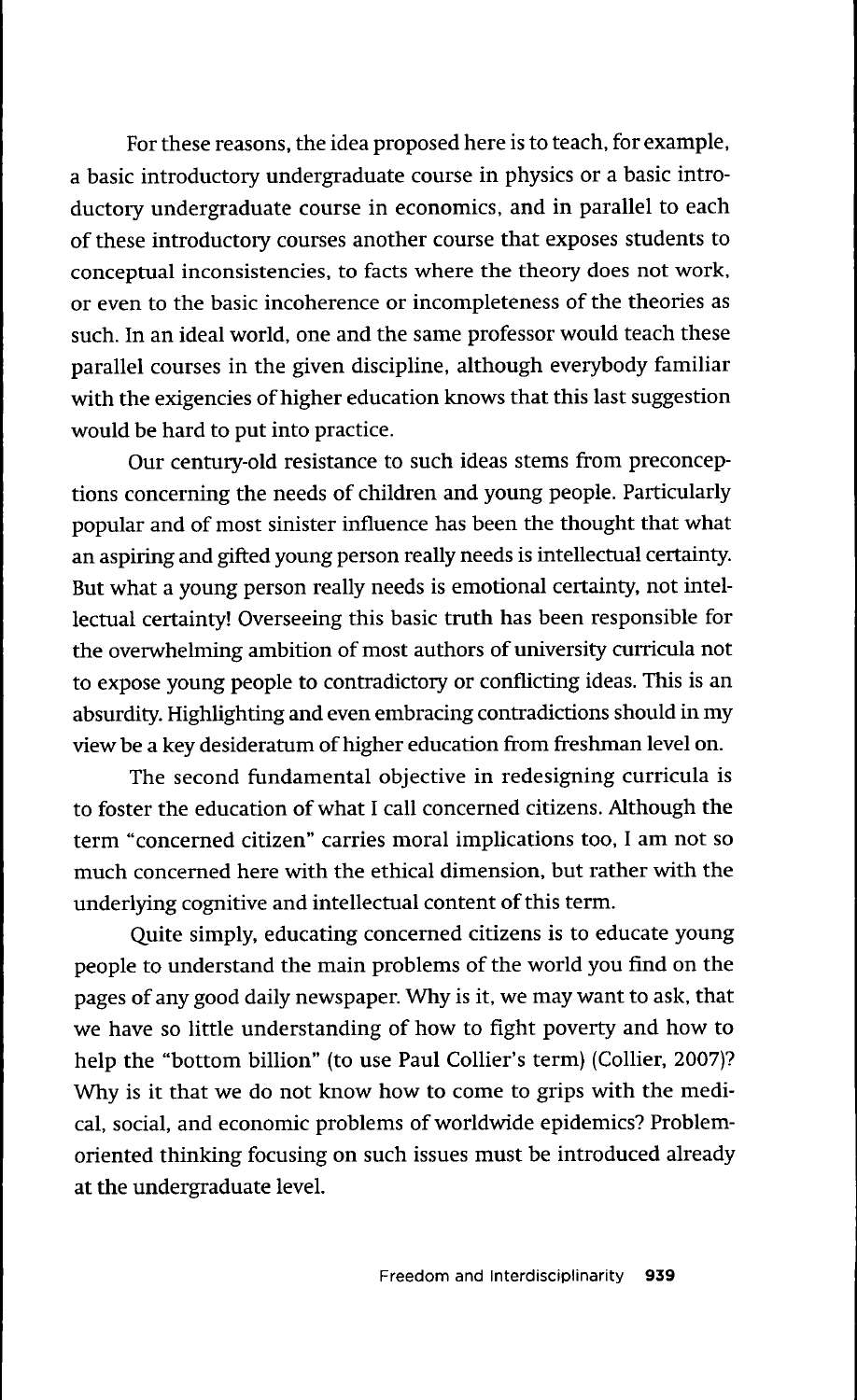For these reasons, the idea proposed here is to teach, for example, a basic introductory undergraduate course in physics or a basic introductory undergraduate course in economics, and in parallel to each of these introductory courses another course that exposes students to conceptual inconsistencies, to facts where the theory does not work, or even to the basic incoherence or incompleteness of the theories as such. In an ideal world, one and the same professor would teach these parallel courses in the given discipline, although everybody familiar with the exigencies of higher education knows that this last suggestion would be hard to put into practice.

Our century-old resistance to such ideas stems ftom preconceptions concerning the needs of children and young people. Particularly popular and of most sinister influence has been the thought that what an aspiring and gifted young person really needs is intellectual certainty. But what a young person really needs is emotional certainty, not intellectual certainty! Overseeing this basic truth has been responsible for the overwhelming ambition of most authors of university curricula not to expose young people to contradictory or conflicting ideas. This is an absurdity. Highlighting and even embracing contradictions should in my view be a key desideratum of higher education from freshman level on.

The second fundamental objective in redesigning curricula is to foster the education of what I call concerned citizens. Although the term "concerned citizen" carries moral implications too, I am not so much concerned here with the ethical dimension, but rather with the underlying cognitive and intellectual content of this term.

Quite simply, educating concerned citizens is to educate young people to understand the main problems of the world you find on the pages of any good daily newspaper Why is it, we may want to ask, that we have so little understanding of how to fight poverty and how to help the "bottom billion" (to use Paul Collier's term) (Collier, 2007)? Why is it that we do not know how to come to grips with the medical, social, and economic problems of worldwide epidemics? Problemoriented thinking focusing on such issues must be introduced already at the undergraduate level.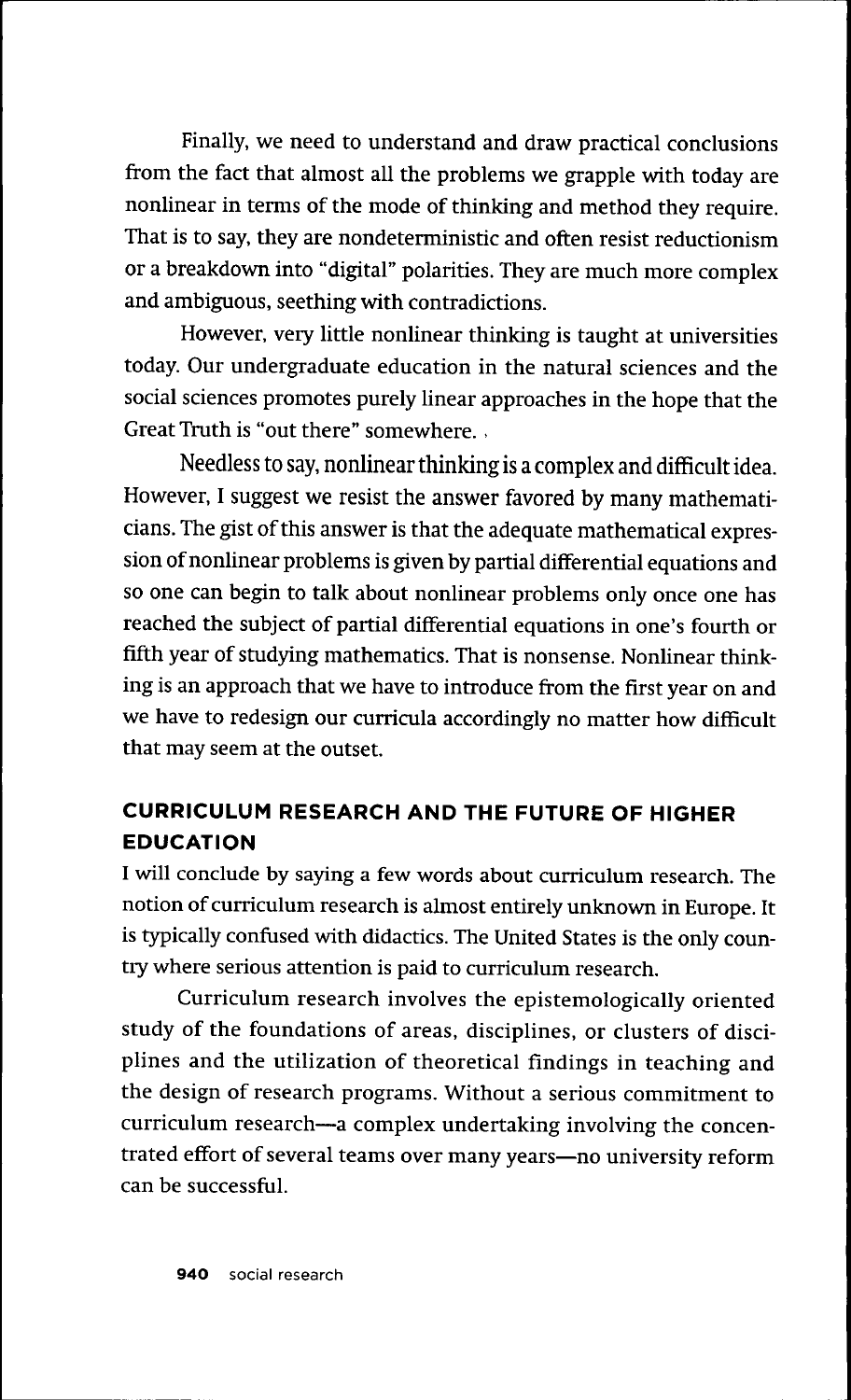Finally, we need to understand and draw practical conclusions from the fact that almost all the problems we grapple with today are nonlinear in terms of the mode of thinking and method they require. That is to say, they are nondeterministic and often resist reductionism or a breakdown into "digital" polarities. They are much more complex and ambiguous, seething with contradictions.

However, very little nonlinear thinking is taught at universities today. Our undergraduate education in the natural sciences and the social sciences promotes purely linear approaches in the hope that the Great Truth is "out there" somewhere. ,

Needless to say, nonlinear thinking is a complex and difficult idea. However, I suggest we resist the answer favored by many mathematicians. The gist of this answer is that the adequate mathematical expression of nonlinear problems is given by partial differential equations and so one can begin to talk about nonlinear problems only once one has reached the subject of partial differential equations in one's fourth or fifth year of studying mathematics. That is nonsense. Nonlinear thinking is an approach that we have to introduce from the first year on and we have to redesign our curricula accordingly no matter how difficult that may seem at the outset.

# **CURRICULUM RESEARCH AND THE FUTURE OF HIGHER EDUCATION**

I will conclude by saying a few words about curriculum research. The notion of curriculum research is almost entirely unknown in Europe. It is typically confused with didactics. The United States is the only country where serious attention is paid to curriculum research.

Curriculum research involves the epistemologically oriented study of the foundations of areas, disciplines, or clusters of disciplines and the utilization of theoretical findings in teaching and the design of research programs. Without a serious commitment to curriculum research—a complex undertaking involving the concentrated effort of several teams over many years—no university reform can be successful.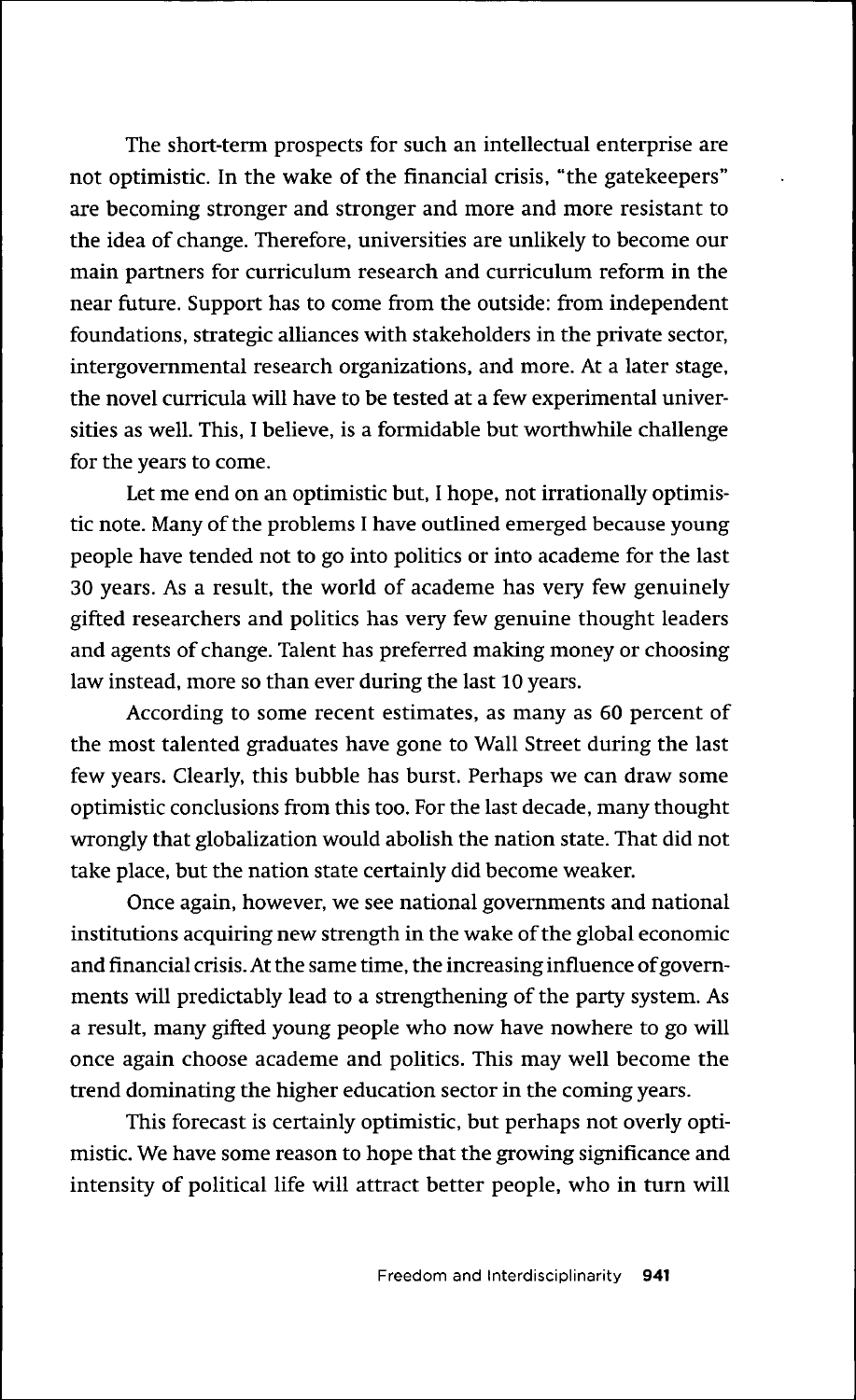The short-term prospects for such an intellectual enterprise are not optimistic. In the wake of the financial crisis, "the gatekeepers" are becoming stronger and stronger and more and more resistant to the idea of change. Therefore, universities are unlikely to become our main partners for curriculum research and curriculum reform in the near future. Support has to come from the outside: from independent foundations, strategic alliances with stakeholders in the private sector, intergovernmental research organizations, and more. At a later stage, the novel curricula will have to be tested at a few experimental universities as well. This, I believe, is a formidable but worthwhile challenge for the years to come.

Let me end on an optimistic but, I hope, not irrationally optimistic note. Many of the problems I have outlined emerged because young people have tended not to go into politics or into academe for the last 30 years. As a result, the world of academe has very few genuinely gifted researchers and politics has very few genuine thought leaders and agents of change. Talent has preferred making money or choosing law instead, more so than ever during the last 10 years.

According to some recent estimates, as many as 60 percent of the most talented graduates have gone to Wall Street during the last few years. Clearly, this bubble has burst. Perhaps we can draw some optimistic conclusions from this too. For the last decade, many thought wrongly that globalization would abolish the nation state. That did not take place, but the nation state certainly did become weaker.

Once again, however, we see national governments and national institutions acquiring new strength in the wake of the global economic and financial crisis. At the same time, the increasing influence of governments will predictably lead to a strengthening of the party system. As a result, many gifted young people who now have nowhere to go will once again choose academe and politics. This may well become the trend dominating the higher education sector in the coming years.

This forecast is certainly optimistic, but perhaps not overly optimistic. We have some reason to hope that the growing significance and intensity of political life will attract better people, who in turn will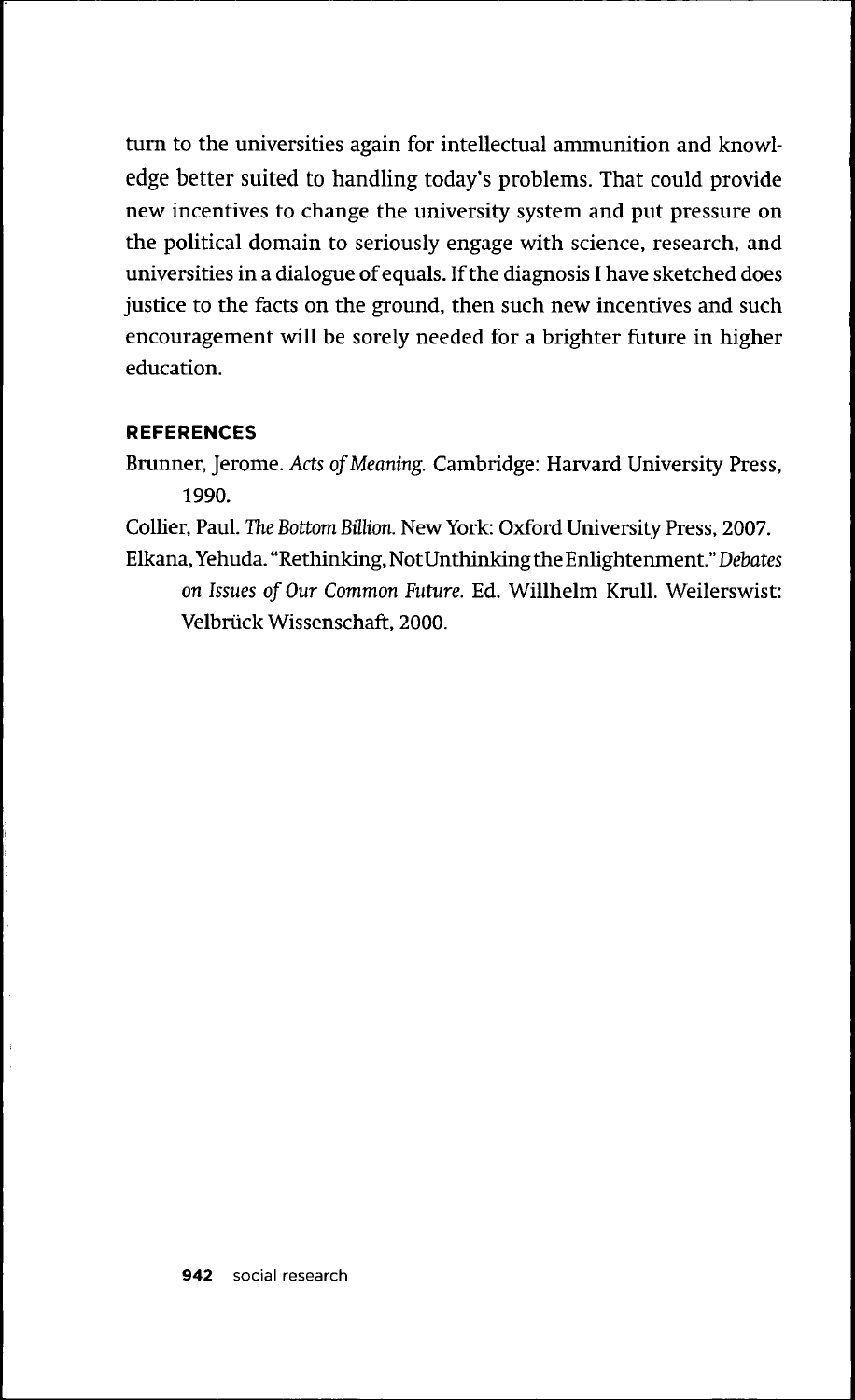turn to the universities again for intellectual ammunition and knowledge better suited to handling today's problems. That could provide new incentives to change the university system and put pressure on the political domain to seriously engage with science, research, and universities in a dialogue of equals. If the diagnosis I have sketched does justice to the facts on the ground, then such new incentives and such encouragement *will* be sorely needed for a brighter future in higher education.

#### **REFERENCES**

- Brunner, Jerome. Arts *of Meaning.* Cambridge: Harvard University Press, 1990.
- Collier, Paul. *The Bottom Billion.* New York: Oxford University Press, 2007.
- Elkana, Yehuda. "Rethinking, NotUnthinkingthe Enlightenment." *Debates on Issues of Our Common Future.* Ed. Willhelm Krull. Weilerswist: Velbrück Wissenschaft, 2000.